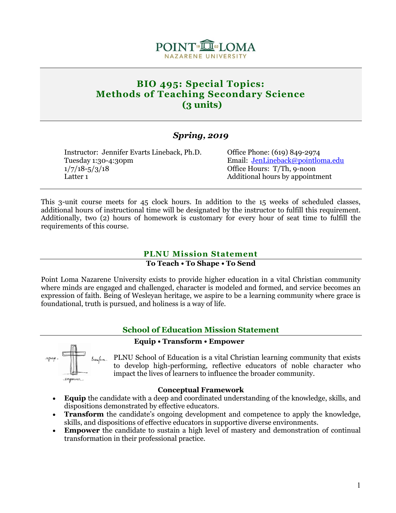

# **BIO 495: Special Topics: Methods of Teaching Secondary Science (3 units)**

## *Spring, 2019*

Instructor: Jennifer Evarts Lineback, Ph.D. Office Phone: (619) 849-2974 Tuesday 1:30-4:30pm Email: [JenLineback@pointloma.edu](mailto:JenLineback@pointloma.edu) 1/7/18-5/3/18 Office Hours: T/Th, 9-noon Latter 1 Additional hours by appointment

This 3-unit course meets for 45 clock hours. In addition to the 15 weeks of scheduled classes, additional hours of instructional time will be designated by the instructor to fulfill this requirement. Additionally, two (2) hours of homework is customary for every hour of seat time to fulfill the requirements of this course.

## **PLNU Mission Statement**

#### **To Teach • To Shape • To Send**

Point Loma Nazarene University exists to provide higher education in a vital Christian community where minds are engaged and challenged, character is modeled and formed, and service becomes an expression of faith. Being of Wesleyan heritage, we aspire to be a learning community where grace is foundational, truth is pursued, and holiness is a way of life.

## **School of Education Mission Statement**

 **Equip • Transform • Empower**

PLNU School of Education is a vital Christian learning community that exists to develop high-performing, reflective educators of noble character who impact the lives of learners to influence the broader community.

#### **Conceptual Framework**

- **Equip** the candidate with a deep and coordinated understanding of the knowledge, skills, and dispositions demonstrated by effective educators.
- **Transform** the candidate's ongoing development and competence to apply the knowledge, skills, and dispositions of effective educators in supportive diverse environments.
- **Empower** the candidate to sustain a high level of mastery and demonstration of continual transformation in their professional practice.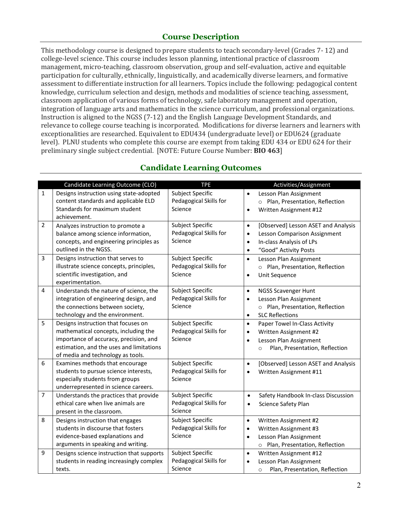## **Course Description**

This methodology course is designed to prepare students to teach secondary-level (Grades 7- 12) and college-level science. This course includes lesson planning, intentional practice of classroom management, micro-teaching, classroom observation, group and self-evaluation, active and equitable participation for culturally, ethnically, linguistically, and academically diverse learners, and formative assessment to differentiate instruction for all learners. Topics include the following: pedagogical content knowledge, curriculum selection and design, methods and modalities of science teaching, assessment, classroom application of various forms of technology, safe laboratory management and operation, integration of language arts and mathematics in the science curriculum, and professional organizations. Instruction is aligned to the NGSS (7-12) and the English Language Development Standards, and relevance to college course teaching is incorporated. Modifications for diverse learners and learners with exceptionalities are researched. Equivalent to EDU434 (undergraduate level) or EDU624 (graduate level). PLNU students who complete this course are exempt from taking EDU 434 or EDU 624 for their preliminary single subject credential. [NOTE: Future Course Number: **BIO 463**]

|                | Candidate Learning Outcome (CLO)                                                                                                                                                                       | <b>TPE</b>                                                   | Activities/Assignment                                                                                                                                                        |
|----------------|--------------------------------------------------------------------------------------------------------------------------------------------------------------------------------------------------------|--------------------------------------------------------------|------------------------------------------------------------------------------------------------------------------------------------------------------------------------------|
| $\mathbf{1}$   | Designs instruction using state-adopted<br>content standards and applicable ELD<br>Standards for maximum student                                                                                       | <b>Subject Specific</b><br>Pedagogical Skills for<br>Science | Lesson Plan Assignment<br>$\bullet$<br>o Plan, Presentation, Reflection<br>Written Assignment #12<br>$\bullet$                                                               |
|                | achievement.                                                                                                                                                                                           |                                                              |                                                                                                                                                                              |
| $\overline{2}$ | Analyzes instruction to promote a<br>balance among science information,<br>concepts, and engineering principles as<br>outlined in the NGSS.                                                            | Subject Specific<br>Pedagogical Skills for<br>Science        | [Observed] Lesson ASET and Analysis<br>$\bullet$<br>Lesson Comparison Assignment<br>$\bullet$<br>In-class Analysis of LPs<br>$\bullet$<br>"Good" Activity Posts<br>$\bullet$ |
| $\overline{3}$ | Designs instruction that serves to<br>illustrate science concepts, principles,<br>scientific investigation, and<br>experimentation.                                                                    | Subject Specific<br>Pedagogical Skills for<br>Science        | Lesson Plan Assignment<br>$\bullet$<br>o Plan, Presentation, Reflection<br>Unit Sequence<br>$\bullet$                                                                        |
| 4              | Understands the nature of science, the<br>integration of engineering design, and<br>the connections between society,<br>technology and the environment.                                                | Subject Specific<br>Pedagogical Skills for<br>Science        | $\bullet$<br><b>NGSS Scavenger Hunt</b><br>Lesson Plan Assignment<br>$\bullet$<br>o Plan, Presentation, Reflection<br><b>SLC Reflections</b><br>$\bullet$                    |
| 5              | Designs instruction that focuses on<br>mathematical concepts, including the<br>importance of accuracy, precision, and<br>estimation, and the uses and limitations<br>of media and technology as tools. | <b>Subject Specific</b><br>Pedagogical Skills for<br>Science | Paper Towel In-Class Activity<br>$\bullet$<br>Written Assignment #2<br>$\bullet$<br>Lesson Plan Assignment<br>$\bullet$<br>Plan, Presentation, Reflection<br>$\circ$         |
| 6              | Examines methods that encourage<br>students to pursue science interests,<br>especially students from groups<br>underrepresented in science careers.                                                    | Subject Specific<br>Pedagogical Skills for<br>Science        | [Observed] Lesson ASET and Analysis<br>$\bullet$<br>Written Assignment #11<br>$\bullet$                                                                                      |
| $\overline{7}$ | Understands the practices that provide<br>ethical care when live animals are<br>present in the classroom.                                                                                              | Subject Specific<br>Pedagogical Skills for<br>Science        | Safety Handbook In-class Discussion<br>$\bullet$<br>Science Safety Plan<br>$\bullet$                                                                                         |
| 8              | Designs instruction that engages<br>students in discourse that fosters<br>evidence-based explanations and<br>arguments in speaking and writing.                                                        | Subject Specific<br>Pedagogical Skills for<br>Science        | Written Assignment #2<br>$\bullet$<br>Written Assignment #3<br>$\bullet$<br>Lesson Plan Assignment<br>$\bullet$<br>o Plan, Presentation, Reflection                          |
| 9              | Designs science instruction that supports<br>students in reading increasingly complex<br>texts.                                                                                                        | Subject Specific<br>Pedagogical Skills for<br>Science        | Written Assignment #12<br>$\bullet$<br>Lesson Plan Assignment<br>$\bullet$<br>Plan, Presentation, Reflection<br>$\circ$                                                      |

## **Candidate Learning Outcomes**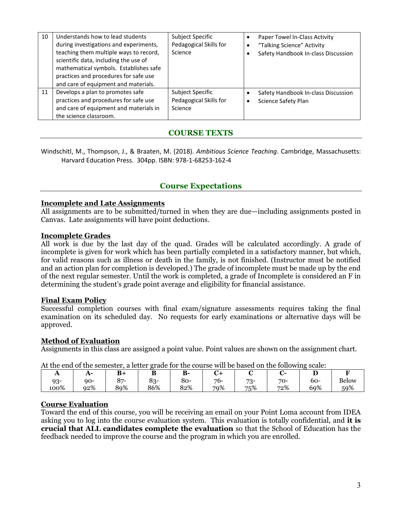| 10 | Understands how to lead students<br>during investigations and experiments,<br>teaching them multiple ways to record,<br>scientific data, including the use of<br>mathematical symbols. Establishes safe<br>practices and procedures for safe use<br>and care of equipment and materials. | Subject Specific<br>Pedagogical Skills for<br>Science | Paper Towel In-Class Activity<br>"Talking Science" Activity<br>Safety Handbook In-class Discussion |
|----|------------------------------------------------------------------------------------------------------------------------------------------------------------------------------------------------------------------------------------------------------------------------------------------|-------------------------------------------------------|----------------------------------------------------------------------------------------------------|
| 11 | Develops a plan to promotes safe<br>practices and procedures for safe use<br>and care of equipment and materials in<br>the science classroom.                                                                                                                                            | Subject Specific<br>Pedagogical Skills for<br>Science | Safety Handbook In-class Discussion<br>Science Safety Plan                                         |

## **COURSE TEXTS**

Windschitl, M., Thompson, J., & Braaten, M. (2018). *Ambitious Science Teaching*. Cambridge, Massachusetts: Harvard Education Press. 304pp. ISBN: 978-1-68253-162-4

## **Course Expectations**

#### **Incomplete and Late Assignments**

All assignments are to be submitted/turned in when they are due—including assignments posted in Canvas. Late assignments will have point deductions.

#### **Incomplete Grades**

All work is due by the last day of the quad. Grades will be calculated accordingly. A grade of incomplete is given for work which has been partially completed in a satisfactory manner, but which, for valid reasons such as illness or death in the family, is not finished. (Instructor must be notified and an action plan for completion is developed.) The grade of incomplete must be made up by the end of the next regular semester. Until the work is completed, a grade of Incomplete is considered an F in determining the student's grade point average and eligibility for financial assistance.

#### **Final Exam Policy**

Successful completion courses with final exam/signature assessments requires taking the final examination on its scheduled day. No requests for early examinations or alternative days will be approved.

#### **Method of Evaluation**

Assignments in this class are assigned a point value. Point values are shown on the assignment chart.

At the end of the semester, a letter grade for the course will be based on the following scale:

| $\mathbf{L}$ | $A^-$ | $\mathbf{R}_{\perp}$ | Р                        | D<br>D. |     |             |       |     |              |
|--------------|-------|----------------------|--------------------------|---------|-----|-------------|-------|-----|--------------|
| 93-          | $90-$ | 87                   | $\Omega_{\Omega}$<br>ბკ- | 80-     | 76- | $73-$<br>ັບ | $70-$ | 60- | <b>Below</b> |
| 100%         | 92%   | 89%                  | 86%                      | 82%     | 79% | 75%         | 72%   | 69% | 59%          |

#### **Course Evaluation**

Toward the end of this course, you will be receiving an email on your Point Loma account from IDEA asking you to log into the course evaluation system. This evaluation is totally confidential, and **it is crucial that ALL candidates complete the evaluation** so that the School of Education has the feedback needed to improve the course and the program in which you are enrolled.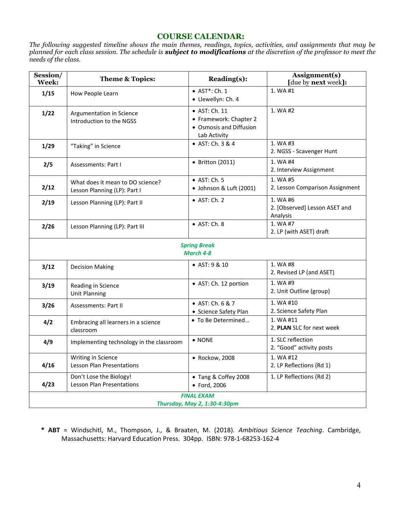### **COURSE CALENDAR:**

*The following suggested timeline shows the main themes, readings, topics, activities, and assignments that may be planned for each class session. The schedule is subject to modifications at the discretion of the professor to meet the needs of the class.* 

| Session/<br>Week: | Theme & Topics:                                                  | Reading(s):                                                                        | Assignment(s)<br>[due by next week]:                  |
|-------------------|------------------------------------------------------------------|------------------------------------------------------------------------------------|-------------------------------------------------------|
| 1/15              | How People Learn                                                 | • AST*: Ch. 1<br>· Llewellyn: Ch. 4                                                | 1. WA #1                                              |
| 1/22              | Argumentation in Science<br>Introduction to the NGSS             | • AST: Ch. 11<br>• Framework: Chapter 2<br>• Osmosis and Diffusion<br>Lab Activity | 1. WA #2                                              |
| 1/29              | "Taking" in Science                                              | • AST: Ch. 3 & 4                                                                   | 1. WA #3<br>2. NGSS - Scavenger Hunt                  |
| 2/5               | Assessments: Part I                                              | $\bullet$ Britton (2011)                                                           | 1. WA #4<br>2. Interview Assignment                   |
| 2/12              | What does it mean to DO science?<br>Lesson Planning (LP): Part I | $\bullet$ AST: Ch. 5<br>· Johnson & Luft (2001)                                    | 1. WA #5<br>2. Lesson Comparison Assignment           |
| 2/19              | Lesson Planning (LP): Part II                                    | $\bullet$ AST: Ch. 2                                                               | 1. WA #6<br>2. [Observed] Lesson ASET and<br>Analysis |
| 2/26              | Lesson Planning (LP): Part III                                   | $\bullet$ AST: Ch. 8                                                               | 1. WA #7<br>2. LP (with ASET) draft                   |
|                   |                                                                  | <b>Spring Break</b><br>March 4-8                                                   |                                                       |
| 3/12              | <b>Decision Making</b>                                           | • AST: 9 & 10                                                                      | 1. WA #8<br>2. Revised LP (and ASET)                  |
| 3/19              | Reading in Science<br><b>Unit Planning</b>                       | • AST: Ch. 12 portion                                                              | 1. WA #9<br>2. Unit Outline (group)                   |
| 3/26              | Assessments: Part II                                             | • AST: Ch. 6 & 7<br>• Science Safety Plan                                          | 1. WA #10<br>2. Science Safety Plan                   |
| 4/2               | Embracing all learners in a science<br>classroom                 | • To Be Determined                                                                 | 1. WA #11<br>2. PLAN SLC for next week                |
| 4/9               | Implementing technology in the classroom                         | • NONE                                                                             | 1. SLC reflection<br>2. "Good" activity posts         |
| 4/16              | Writing in Science<br><b>Lesson Plan Presentations</b>           | • Rockow, 2008                                                                     | 1. WA #12<br>2. LP Reflections (Rd 1)                 |
| 4/23              | Don't Lose the Biology!<br>Lesson Plan Presentations             | • Tang & Coffey 2008<br>• Ford, 2006                                               | 1. LP Reflections (Rd 2)                              |
|                   |                                                                  | <b>FINAL EXAM</b><br>Thursday, May 2, 1:30-4:30pm                                  |                                                       |

**\* ABT** = Windschitl, M., Thompson, J., & Braaten, M. (2018). *Ambitious Science Teaching*. Cambridge, Massachusetts: Harvard Education Press. 304pp. ISBN: 978-1-68253-162-4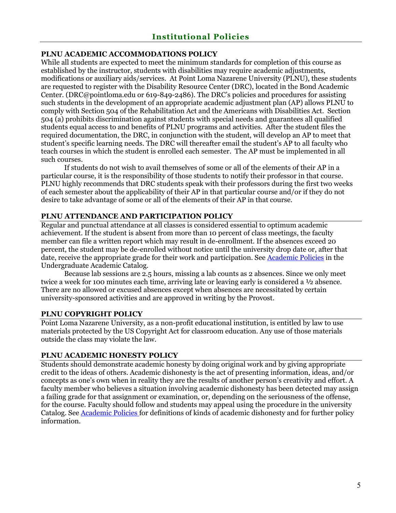### **PLNU ACADEMIC ACCOMMODATIONS POLICY**

While all students are expected to meet the minimum standards for completion of this course as established by the instructor, students with disabilities may require academic adjustments, modifications or auxiliary aids/services. At Point Loma Nazarene University (PLNU), these students are requested to register with the Disability Resource Center (DRC), located in the Bond Academic Center. (DRC@pointloma.edu or 619-849-2486). The DRC's policies and procedures for assisting such students in the development of an appropriate academic adjustment plan (AP) allows PLNU to comply with Section 504 of the Rehabilitation Act and the Americans with Disabilities Act. Section 504 (a) prohibits discrimination against students with special needs and guarantees all qualified students equal access to and benefits of PLNU programs and activities. After the student files the required documentation, the DRC, in conjunction with the student, will develop an AP to meet that student's specific learning needs. The DRC will thereafter email the student's AP to all faculty who teach courses in which the student is enrolled each semester. The AP must be implemented in all such courses.

If students do not wish to avail themselves of some or all of the elements of their AP in a particular course, it is the responsibility of those students to notify their professor in that course. PLNU highly recommends that DRC students speak with their professors during the first two weeks of each semester about the applicability of their AP in that particular course and/or if they do not desire to take advantage of some or all of the elements of their AP in that course.

### **PLNU ATTENDANCE AND PARTICIPATION POLICY**

Regular and punctual attendance at all classes is considered essential to optimum academic achievement. If the student is absent from more than 10 percent of class meetings, the faculty member can file a written report which may result in de-enrollment. If the absences exceed 20 percent, the student may be de-enrolled without notice until the university drop date or, after that date, receive the appropriate grade for their work and participation. See [Academic Policies](http://catalog.pointloma.edu/content.php?catoid=18&navoid=1278) in the Undergraduate Academic Catalog.

Because lab sessions are 2.5 hours, missing a lab counts as 2 absences. Since we only meet twice a week for 100 minutes each time, arriving late or leaving early is considered a ½ absence. There are no allowed or excused absences except when absences are necessitated by certain university-sponsored activities and are approved in writing by the Provost.

#### **PLNU COPYRIGHT POLICY**

Point Loma Nazarene University, as a non-profit educational institution, is entitled by law to use materials protected by the US Copyright Act for classroom education. Any use of those materials outside the class may violate the law.

#### **PLNU ACADEMIC HONESTY POLICY**

Students should demonstrate academic honesty by doing original work and by giving appropriate credit to the ideas of others. Academic dishonesty is the act of presenting information, ideas, and/or concepts as one's own when in reality they are the results of another person's creativity and effort. A faculty member who believes a situation involving academic dishonesty has been detected may assign a failing grade for that assignment or examination, or, depending on the seriousness of the offense, for the course. Faculty should follow and students may appeal using the procedure in the university Catalog. See **Academic Policies** for definitions of kinds of academic dishonesty and for further policy information.